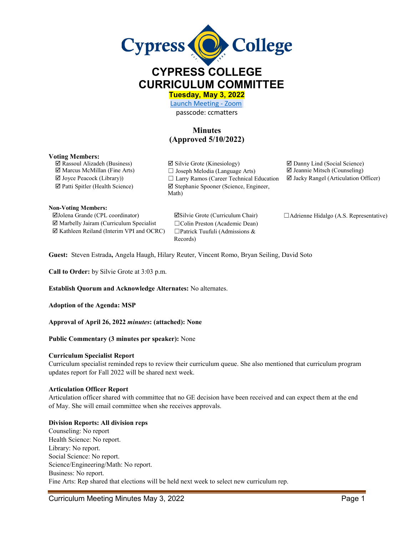

# **CYPRESS COLLEGE CURRICULUM COMMITTEE**

**Tuesday, May 3, 2022** 

[Launch Meeting - Zoom](https://cypresscollege-edu.zoom.us/j/96161669542?pwd=OWYraHlaR0UzOE9QYU9NaXlnSjRIZz09#success)  passcode: ccmatters

# **Minutes (Approved 5/10/2022)**

#### **Voting Members:**

**Non-Voting Members:**

 $\Box$  Rassoul Alizadeh (Business)  $\Box$  Silvie Grote (Kinesiology)  $\Box$  Danny Lind (Social Science) Marcus McMillan (Fine Arts) ☐ Joseph Melodia (Language Arts) Jeannie Mitsch (Counseling)  $\Box$  Joyce Peacock (Library))  $\Box$  Larry Ramos (Career Technical Education  $\Box$  Jacky Rangel (Articulation Officer) Patti Spitler (Health Science) Stephanie Spooner (Science, Engineer, Math)

 Marbelly Jairam (Curriculum Specialist ☐Colin Preston (Academic Dean)  $\boxtimes$  Kathleen Reiland (Interim VPI and OCRC)  $\Box$  Patrick Tuufuli (Admissions &

Records)

Jolena Grande (CPL coordinator) Silvie Grote (Curriculum Chair) ☐Adrienne Hidalgo (A.S. Representative)

**Guest:** Steven Estrada**,** Angela Haugh, Hilary Reuter, Vincent Romo, Bryan Seiling, David Soto

**Call to Order:** by Silvie Grote at 3:03 p.m.

**Establish Quorum and Acknowledge Alternates:** No alternates.

**Adoption of the Agenda: MSP** 

**Approval of April 26, 2022** *minutes***: (attached): None** 

#### **Public Commentary (3 minutes per speaker):** None

#### **Curriculum Specialist Report**

Curriculum specialist reminded reps to review their curriculum queue. She also mentioned that curriculum program updates report for Fall 2022 will be shared next week.

#### **Articulation Officer Report**

Articulation officer shared with committee that no GE decision have been received and can expect them at the end of May. She will email committee when she receives approvals.

#### **Division Reports: All division reps**

Counseling: No report Health Science: No report. Library: No report. Social Science: No report. Science/Engineering/Math: No report. Business: No report. Fine Arts: Rep shared that elections will be held next week to select new curriculum rep.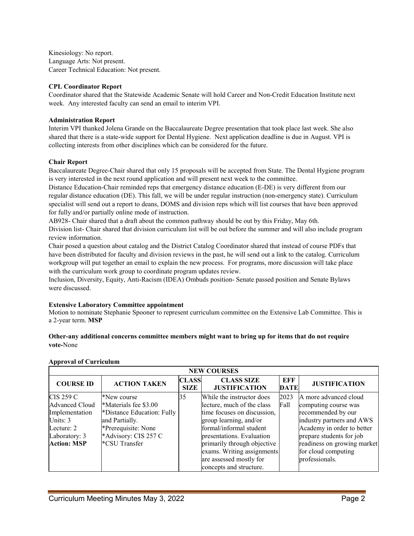Kinesiology: No report. Language Arts: Not present. Career Technical Education: Not present.

#### **CPL Coordinator Report**

Coordinator shared that the Statewide Academic Senate will hold Career and Non-Credit Education Institute next week. Any interested faculty can send an email to interim VPI.

#### **Administration Report**

Interim VPI thanked Jolena Grande on the Baccalaureate Degree presentation that took place last week. She also shared that there is a state-wide support for Dental Hygiene. Next application deadline is due in August. VPI is collecting interests from other disciplines which can be considered for the future.

#### **Chair Report**

Baccalaureate Degree-Chair shared that only 15 proposals will be accepted from State. The Dental Hygiene program is very interested in the next round application and will present next week to the committee.

Distance Education-Chair reminded reps that emergency distance education (E-DE) is very different from our regular distance education (DE). This fall, we will be under regular instruction (non-emergency state). Curriculum specialist will send out a report to deans, DOMS and division reps which will list courses that have been approved for fully and/or partially online mode of instruction.

AB928- Chair shared that a draft about the common pathway should be out by this Friday, May 6th.

Division list- Chair shared that division curriculum list will be out before the summer and will also include program review information.

Chair posed a question about catalog and the District Catalog Coordinator shared that instead of course PDFs that have been distributed for faculty and division reviews in the past, he will send out a link to the catalog. Curriculum workgroup will put together an email to explain the new process. For programs, more discussion will take place with the curriculum work group to coordinate program updates review.

Inclusion, Diversity, Equity, Anti-Racism (IDEA) Ombuds position- Senate passed position and Senate Bylaws were discussed.

## **Extensive Laboratory Committee appointment**

Motion to nominate Stephanie Spooner to represent curriculum committee on the Extensive Lab Committee. This is a 2-year term. **MSP**

## **Other-any additional concerns committee members might want to bring up for items that do not require vote-**None

| <b>NEW COURSES</b>          |                                       |                             |                                                         |                    |                                                         |  |
|-----------------------------|---------------------------------------|-----------------------------|---------------------------------------------------------|--------------------|---------------------------------------------------------|--|
| <b>COURSE ID</b>            | <b>ACTION TAKEN</b>                   | <b>CLASS</b><br><b>SIZE</b> | <b>CLASS SIZE</b><br><b>JUSTIFICATION</b>               | EFF<br><b>DATE</b> | <b>JUSTIFICATION</b>                                    |  |
| CIS 259 C<br>Advanced Cloud | *New course<br>*Materials fee \$3.00  | 35                          | While the instructor does<br>lecture, much of the class | 2023<br>Fall       | A more advanced cloud<br>computing course was           |  |
| Implementation              | *Distance Education: Fully            |                             | time focuses on discussion,                             |                    | recommended by our                                      |  |
| Units: 3<br>Lecture: 2      | and Partially.<br>*Prerequisite: None |                             | group learning, and/or<br>formal/informal student       |                    | industry partners and AWS<br>Academy in order to better |  |
| Laboratory: 3               | *Advisory: CIS 257 C                  |                             | presentations. Evaluation                               |                    | prepare students for job                                |  |
| <b>Action: MSP</b>          | *CSU Transfer                         |                             | primarily through objective                             |                    | readiness on growing market                             |  |
|                             |                                       |                             | exams. Writing assignments<br>are assessed mostly for   |                    | for cloud computing<br>professionals.                   |  |
|                             |                                       |                             | concepts and structure.                                 |                    |                                                         |  |

#### **Approval of Curriculum**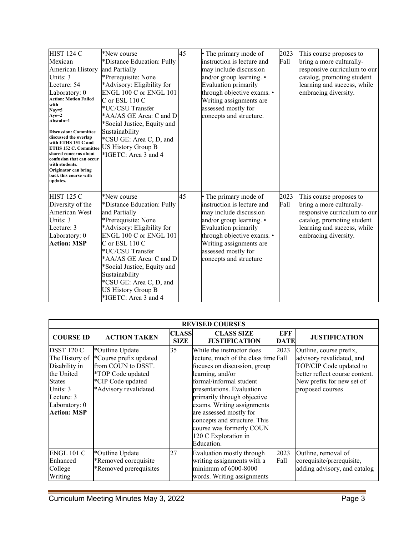| <b>HIST 124 C</b>                                 | *New course                 | 45 | • The primary mode of       | 2023 | This course proposes to      |
|---------------------------------------------------|-----------------------------|----|-----------------------------|------|------------------------------|
| Mexican                                           | *Distance Education: Fully  |    | instruction is lecture and  | Fall | bring a more culturally-     |
| American History                                  | and Partially               |    | may include discussion      |      | responsive curriculum to our |
| Units: 3                                          | *Prerequisite: None         |    | and/or group learning. •    |      | catalog, promoting student   |
| Lecture: 54                                       | *Advisory: Eligibility for  |    | Evaluation primarily        |      | learning and success, while  |
| Laboratory: 0                                     | ENGL 100 C or ENGL 101      |    | through objective exams. •  |      | embracing diversity.         |
| <b>Action: Motion Failed</b>                      | $C$ or ESL 110 $C$          |    | Writing assignments are     |      |                              |
| with<br>$Nay=5$                                   | *UC/CSU Transfer            |    | assessed mostly for         |      |                              |
| $Aye=2$                                           | *AA/AS GE Area: C and D     |    | concepts and structure.     |      |                              |
| Abstain=1                                         | *Social Justice, Equity and |    |                             |      |                              |
| <b>Discussion: Committee</b>                      | Sustainability              |    |                             |      |                              |
| discussed the overlap<br>with ETHS 151 C and      | *CSU GE: Area C, D, and     |    |                             |      |                              |
| ETHS 152 C. Committee                             | <b>US History Group B</b>   |    |                             |      |                              |
| shared concerns about<br>confusion that can occur | *IGETC: Area 3 and 4        |    |                             |      |                              |
| with students.                                    |                             |    |                             |      |                              |
| Originator can bring                              |                             |    |                             |      |                              |
| back this course with<br>updates.                 |                             |    |                             |      |                              |
|                                                   |                             |    |                             |      |                              |
| <b>HIST 125 C</b>                                 | *New course                 | 45 | • The primary mode of       | 2023 | This course proposes to      |
| Diversity of the                                  | *Distance Education: Fully  |    | linstruction is lecture and | Fall | bring a more culturally-     |
| American West                                     | and Partially               |    | may include discussion      |      | responsive curriculum to our |
| Units: 3                                          | *Prerequisite: None         |    | and/or group learning. •    |      | catalog, promoting student   |
| Lecture: 3                                        | *Advisory: Eligibility for  |    | Evaluation primarily        |      | learning and success, while  |
| Laboratory: 0                                     | ENGL 100 C or ENGL 101      |    | through objective exams. •  |      | embracing diversity.         |
| <b>Action: MSP</b>                                | $C$ or ESL 110 $C$          |    | Writing assignments are     |      |                              |
|                                                   | *UC/CSU Transfer            |    | assessed mostly for         |      |                              |
|                                                   | *AA/AS GE Area: C and D     |    | concepts and structure      |      |                              |
|                                                   | *Social Justice, Equity and |    |                             |      |                              |
|                                                   | Sustainability              |    |                             |      |                              |
|                                                   | *CSU GE: Area C, D, and     |    |                             |      |                              |
|                                                   | <b>US History Group B</b>   |    |                             |      |                              |
|                                                   | *IGETC: Area 3 and 4        |    |                             |      |                              |
|                                                   |                             |    |                             |      |                              |

| <b>REVISED COURSES</b>                                                                                                                        |                                                                                                                                     |                             |                                                                                                                                                                                                                                                                                                                                                                         |              |                                                                                                                                                                    |
|-----------------------------------------------------------------------------------------------------------------------------------------------|-------------------------------------------------------------------------------------------------------------------------------------|-----------------------------|-------------------------------------------------------------------------------------------------------------------------------------------------------------------------------------------------------------------------------------------------------------------------------------------------------------------------------------------------------------------------|--------------|--------------------------------------------------------------------------------------------------------------------------------------------------------------------|
| <b>COURSE ID</b>                                                                                                                              | <b>ACTION TAKEN</b>                                                                                                                 | <b>CLASS</b><br><b>SIZE</b> | <b>CLASS SIZE</b><br><b>JUSTIFICATION</b>                                                                                                                                                                                                                                                                                                                               | EFF<br>DATE  | <b>JUSTIFICATION</b>                                                                                                                                               |
| DSST 120 C<br>The History of<br>Disability in<br>the United<br><b>States</b><br>Units: 3<br>Lecture: 3<br>Laboratory: 0<br><b>Action: MSP</b> | *Outline Update<br>*Course prefix updated<br>from COUN to DSST.<br>*TOP Code updated<br>*CIP Code updated<br>*Advisory revalidated. | 35                          | While the instructor does<br>lecture, much of the class time Fall<br>focuses on discussion, group<br>learning, and/or<br>formal/informal student<br>presentations. Evaluation<br>primarily through objective<br>exams. Writing assignments<br>are assessed mostly for<br>concepts and structure. This<br>course was formerly COUN<br>120 C Exploration in<br>Education. | 2023         | Outline, course prefix,<br>advisory revalidated, and<br>TOP/CIP Code updated to<br>better reflect course content.<br>New prefix for new set of<br>proposed courses |
| <b>ENGL 101 C</b><br>Enhanced<br>College<br>Writing                                                                                           | *Outline Update<br>*Removed corequisite<br>*Removed prerequisites                                                                   | 27                          | Evaluation mostly through<br>writing assignments with a<br>minimum of 6000-8000<br>words. Writing assignments                                                                                                                                                                                                                                                           | 2023<br>Fall | Outline, removal of<br>corequisite/prerequisite,<br>adding advisory, and catalog                                                                                   |